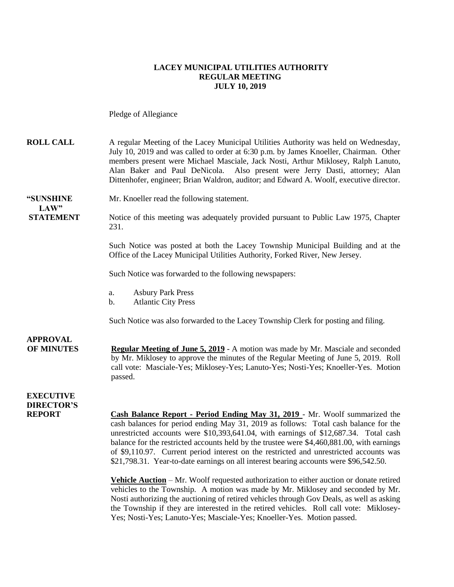#### **LACEY MUNICIPAL UTILITIES AUTHORITY REGULAR MEETING JULY 10, 2019**

#### Pledge of Allegiance

| <b>ROLL CALL</b>                     | A regular Meeting of the Lacey Municipal Utilities Authority was held on Wednesday,<br>July 10, 2019 and was called to order at 6:30 p.m. by James Knoeller, Chairman. Other<br>members present were Michael Masciale, Jack Nosti, Arthur Miklosey, Ralph Lanuto,<br>Also present were Jerry Dasti, attorney; Alan<br>Alan Baker and Paul DeNicola.<br>Dittenhofer, engineer; Brian Waldron, auditor; and Edward A. Woolf, executive director.                                                                                              |
|--------------------------------------|---------------------------------------------------------------------------------------------------------------------------------------------------------------------------------------------------------------------------------------------------------------------------------------------------------------------------------------------------------------------------------------------------------------------------------------------------------------------------------------------------------------------------------------------|
| "SUNSHINE<br>LAW"                    | Mr. Knoeller read the following statement.                                                                                                                                                                                                                                                                                                                                                                                                                                                                                                  |
| <b>STATEMENT</b>                     | Notice of this meeting was adequately provided pursuant to Public Law 1975, Chapter<br>231.                                                                                                                                                                                                                                                                                                                                                                                                                                                 |
|                                      | Such Notice was posted at both the Lacey Township Municipal Building and at the<br>Office of the Lacey Municipal Utilities Authority, Forked River, New Jersey.                                                                                                                                                                                                                                                                                                                                                                             |
|                                      | Such Notice was forwarded to the following newspapers:                                                                                                                                                                                                                                                                                                                                                                                                                                                                                      |
|                                      | <b>Asbury Park Press</b><br>a.<br><b>Atlantic City Press</b><br>b.                                                                                                                                                                                                                                                                                                                                                                                                                                                                          |
|                                      | Such Notice was also forwarded to the Lacey Township Clerk for posting and filing.                                                                                                                                                                                                                                                                                                                                                                                                                                                          |
| <b>APPROVAL</b><br><b>OF MINUTES</b> | <b>Regular Meeting of June 5, 2019</b> - A motion was made by Mr. Masciale and seconded<br>by Mr. Miklosey to approve the minutes of the Regular Meeting of June 5, 2019. Roll<br>call vote: Masciale-Yes; Miklosey-Yes; Lanuto-Yes; Nosti-Yes; Knoeller-Yes. Motion<br>passed.                                                                                                                                                                                                                                                             |
| <b>EXECUTIVE</b>                     |                                                                                                                                                                                                                                                                                                                                                                                                                                                                                                                                             |
| <b>DIRECTOR'S</b><br><b>REPORT</b>   | Cash Balance Report - Period Ending May 31, 2019 - Mr. Woolf summarized the<br>cash balances for period ending May 31, 2019 as follows: Total cash balance for the<br>unrestricted accounts were \$10,393,641.04, with earnings of \$12,687.34. Total cash<br>balance for the restricted accounts held by the trustee were \$4,460,881.00, with earnings<br>of \$9,110.97. Current period interest on the restricted and unrestricted accounts was<br>\$21,798.31. Year-to-date earnings on all interest bearing accounts were \$96,542.50. |
|                                      | <b>Vehicle Auction</b> – Mr. Woolf requested authorization to either auction or donate retired<br>$\mathbf{A}$ and $\mathbf{A}$ are the set of $\mathbf{A}$ and $\mathbf{A}$ are the set of $\mathbf{A}$ and $\mathbf{A}$                                                                                                                                                                                                                                                                                                                   |

vehicles to the Township. A motion was made by Mr. Miklosey and seconded by Mr. Nosti authorizing the auctioning of retired vehicles through Gov Deals, as well as asking the Township if they are interested in the retired vehicles. Roll call vote: Miklosey-Yes; Nosti-Yes; Lanuto-Yes; Masciale-Yes; Knoeller-Yes. Motion passed.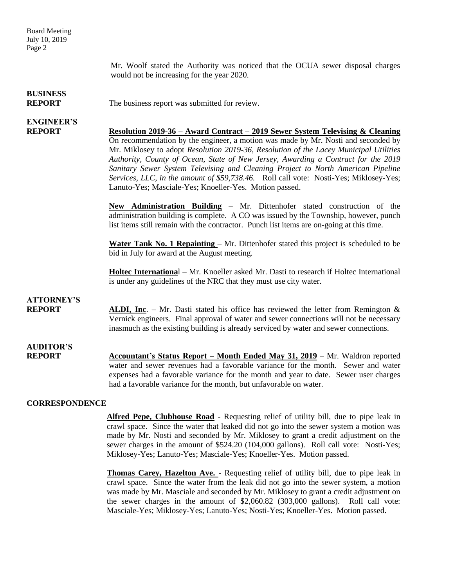Board Meeting July 10, 2019 Page 2

> Mr. Woolf stated the Authority was noticed that the OCUA sewer disposal charges would not be increasing for the year 2020.

# **BUSINESS**

**REPORT** The business report was submitted for review.

## **ENGINEER'S**

**REPORT Resolution 2019-36 – Award Contract – 2019 Sewer System Televising & Cleaning** On recommendation by the engineer, a motion was made by Mr. Nosti and seconded by Mr. Miklosey to adopt *Resolution 2019-36, Resolution of the Lacey Municipal Utilities Authority, County of Ocean, State of New Jersey, Awarding a Contract for the 2019 Sanitary Sewer System Televising and Cleaning Project to North American Pipeline Services, LLC, in the amount of \$59,738.46.* Roll call vote: Nosti-Yes; Miklosey-Yes; Lanuto-Yes; Masciale-Yes; Knoeller-Yes. Motion passed.

> **New Administration Building** – Mr. Dittenhofer stated construction of the administration building is complete. A CO was issued by the Township, however, punch list items still remain with the contractor. Punch list items are on-going at this time.

> **Water Tank No. 1 Repainting** – Mr. Dittenhofer stated this project is scheduled to be bid in July for award at the August meeting.

> **Holtec Internationa**l – Mr. Knoeller asked Mr. Dasti to research if Holtec International is under any guidelines of the NRC that they must use city water.

### **ATTORNEY'S**

**REPORT ALDI, Inc.** – Mr. Dasti stated his office has reviewed the letter from Remington & Vernick engineers. Final approval of water and sewer connections will not be necessary inasmuch as the existing building is already serviced by water and sewer connections.

# **AUDITOR'S**

**REPORT Accountant's Status Report – Month Ended May 31, 2019** – Mr. Waldron reported water and sewer revenues had a favorable variance for the month. Sewer and water expenses had a favorable variance for the month and year to date. Sewer user charges had a favorable variance for the month, but unfavorable on water.

#### **CORRESPONDENCE**

**Alfred Pepe, Clubhouse Road** - Requesting relief of utility bill, due to pipe leak in crawl space. Since the water that leaked did not go into the sewer system a motion was made by Mr. Nosti and seconded by Mr. Miklosey to grant a credit adjustment on the sewer charges in the amount of \$524.20 (104,000 gallons). Roll call vote: Nosti-Yes; Miklosey-Yes; Lanuto-Yes; Masciale-Yes; Knoeller-Yes. Motion passed.

**Thomas Carey, Hazelton Ave.** - Requesting relief of utility bill, due to pipe leak in crawl space. Since the water from the leak did not go into the sewer system, a motion was made by Mr. Masciale and seconded by Mr. Miklosey to grant a credit adjustment on the sewer charges in the amount of \$2,060.82 (303,000 gallons). Roll call vote: Masciale-Yes; Miklosey-Yes; Lanuto-Yes; Nosti-Yes; Knoeller-Yes. Motion passed.